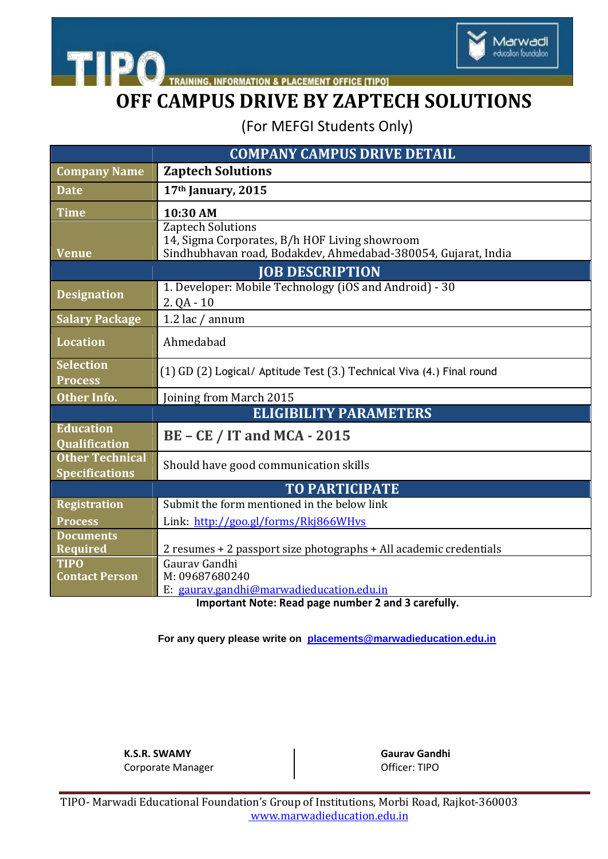

**TIPO** TRAINING, INFORMATION & PLACEMENT OFFICE [TIPO]

# **OFF CAMPUS DRIVE BY ZAPTECH SOLUTIONS**

(For MEFGI Students Only)

| <b>COMPANY CAMPUS DRIVE DETAIL</b>              |                                                                                                                                            |
|-------------------------------------------------|--------------------------------------------------------------------------------------------------------------------------------------------|
| <b>Company Name</b>                             | <b>Zaptech Solutions</b>                                                                                                                   |
| <b>Date</b>                                     | 17th January, 2015                                                                                                                         |
| <b>Time</b>                                     | 10:30 AM                                                                                                                                   |
| <b>Venue</b>                                    | <b>Zaptech Solutions</b><br>14, Sigma Corporates, B/h HOF Living showroom<br>Sindhubhavan road, Bodakdev, Ahmedabad-380054, Gujarat, India |
| <b>JOB DESCRIPTION</b>                          |                                                                                                                                            |
| <b>Designation</b>                              | 1. Developer: Mobile Technology (iOS and Android) - 30<br>$2. QA - 10$                                                                     |
| <b>Salary Package</b>                           | 1.2 lac / annum                                                                                                                            |
| <b>Location</b>                                 | Ahmedabad                                                                                                                                  |
| <b>Selection</b><br><b>Process</b>              | (1) GD (2) Logical/ Aptitude Test (3.) Technical Viva (4.) Final round                                                                     |
| <b>Other Info.</b>                              | Joining from March 2015                                                                                                                    |
| <b>ELIGIBILITY PARAMETERS</b>                   |                                                                                                                                            |
| <b>Education</b><br><b>Qualification</b>        | <b>BE - CE / IT and MCA - 2015</b>                                                                                                         |
| <b>Other Technical</b><br><b>Specifications</b> | Should have good communication skills                                                                                                      |
| <b>TO PARTICIPATE</b>                           |                                                                                                                                            |
| <b>Registration</b>                             | Submit the form mentioned in the below link                                                                                                |
| <b>Process</b>                                  | Link: http://goo.gl/forms/Rkj866WHvs                                                                                                       |
| <b>Documents</b><br>Required                    | 2 resumes + 2 passport size photographs + All academic credentials                                                                         |
| <b>TIPO</b><br><b>Contact Person</b>            | Gauray Gandhi<br>M: 09687680240<br>E: gaurav.gandhi@marwadieducation.edu.in                                                                |

**Important Note: Read page number 2 and 3 carefully.**

**For any query please write on [placements@marwadieducation.edu.in](mailto:placements@marwadieducation.edu.in)**

**K.S.R. SWAMY Gaurav Gandhi** Corporate Manager **Corporate Manager Corporate Manager Officer:** TIPO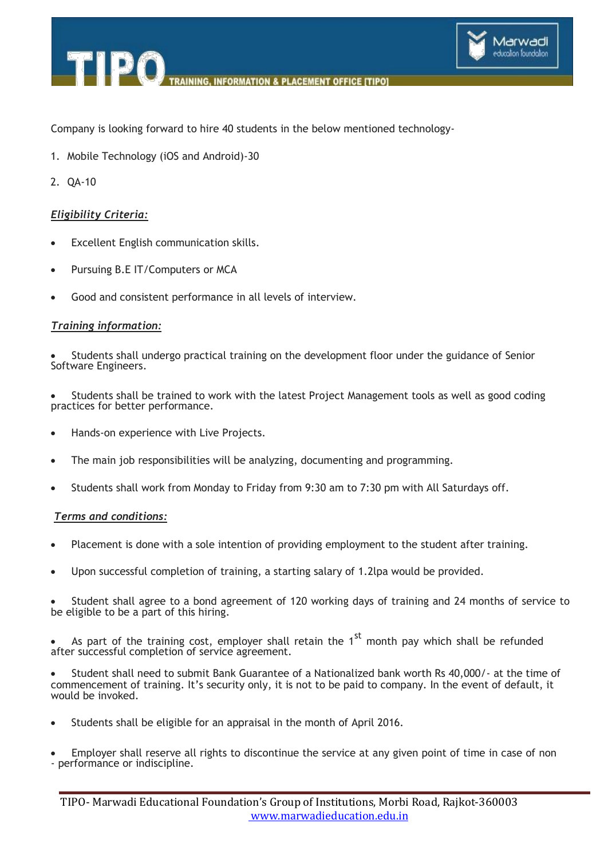

**ACEMENT OFFICE ITIPOI** 

Company is looking forward to hire 40 students in the below mentioned technology-

1. Mobile Technology (iOS and Android)-30

**IPO** 

2. QA-10

## *Eligibility Criteria:*

- Excellent English communication skills.
- Pursuing B.E IT/Computers or MCA
- Good and consistent performance in all levels of interview.

### *Training information:*

 Students shall undergo practical training on the development floor under the guidance of Senior Software Engineers.

 Students shall be trained to work with the latest Project Management tools as well as good coding practices for better performance.

- Hands-on experience with Live Projects.
- The main job responsibilities will be analyzing, documenting and programming.
- Students shall work from Monday to Friday from 9:30 am to 7:30 pm with All Saturdays off.

### *Terms and conditions:*

- Placement is done with a sole intention of providing employment to the student after training.
- Upon successful completion of training, a starting salary of 1.2lpa would be provided.

 Student shall agree to a bond agreement of 120 working days of training and 24 months of service to be eligible to be a part of this hiring.

As part of the training cost, employer shall retain the  $1<sup>st</sup>$  month pay which shall be refunded after successful completion of service agreement.

 Student shall need to submit Bank Guarantee of a Nationalized bank worth Rs 40,000/- at the time of commencement of training. It's security only, it is not to be paid to company. In the event of default, it would be invoked.

- Students shall be eligible for an appraisal in the month of April 2016.
- Employer shall reserve all rights to discontinue the service at any given point of time in case of non - performance or indiscipline.